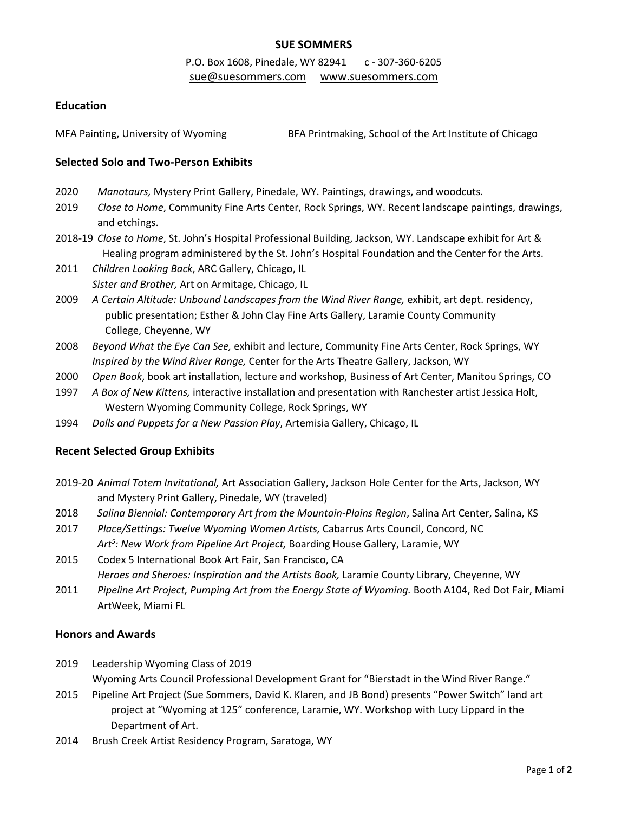## **SUE SOMMERS**

# P.O. Box 1608, Pinedale, WY 82941 c - 307-360-6205 [sue@suesommers.com](mailto:sue@suesommers.com) [www.suesommers.com](http://www.suesommers.com/)

### **Education**

MFA Painting, University of Wyoming BFA Printmaking, School of the Art Institute of Chicago

#### **Selected Solo and Two-Person Exhibits**

- 2020 *Manotaurs,* Mystery Print Gallery, Pinedale, WY. Paintings, drawings, and woodcuts.
- 2019 *Close to Home*, Community Fine Arts Center, Rock Springs, WY. Recent landscape paintings, drawings, and etchings.
- 2018-19 *Close to Home*, St. John's Hospital Professional Building, Jackson, WY. Landscape exhibit for Art & Healing program administered by the St. John's Hospital Foundation and the Center for the Arts.
- 2011 *Children Looking Back*, ARC Gallery, Chicago, IL *Sister and Brother,* Art on Armitage, Chicago, IL
- 2009 *A Certain Altitude: Unbound Landscapes from the Wind River Range,* exhibit, art dept. residency, public presentation; Esther & John Clay Fine Arts Gallery, Laramie County Community College, Cheyenne, WY
- 2008 *Beyond What the Eye Can See,* exhibit and lecture, Community Fine Arts Center, Rock Springs, WY *Inspired by the Wind River Range,* Center for the Arts Theatre Gallery, Jackson, WY
- 2000 *Open Book*, book art installation, lecture and workshop, Business of Art Center, Manitou Springs, CO
- 1997 *A Box of New Kittens,* interactive installation and presentation with Ranchester artist Jessica Holt, Western Wyoming Community College, Rock Springs, WY
- 1994 *Dolls and Puppets for a New Passion Play*, Artemisia Gallery, Chicago, IL

### **Recent Selected Group Exhibits**

- 2019-20 *Animal Totem Invitational,* Art Association Gallery, Jackson Hole Center for the Arts, Jackson, WY and Mystery Print Gallery, Pinedale, WY (traveled)
- 2018 *Salina Biennial: Contemporary Art from the Mountain-Plains Region*, Salina Art Center, Salina, KS
- 2017 *Place/Settings: Twelve Wyoming Women Artists,* Cabarrus Arts Council, Concord, NC Art<sup>5</sup>: New Work from Pipeline Art Project, Boarding House Gallery, Laramie, WY
- 2015 Codex 5 International Book Art Fair, San Francisco, CA *Heroes and Sheroes: Inspiration and the Artists Book,* Laramie County Library, Cheyenne, WY
- 2011 *Pipeline Art Project, Pumping Art from the Energy State of Wyoming.* Booth A104, Red Dot Fair, Miami ArtWeek, Miami FL

### **Honors and Awards**

2019 Leadership Wyoming Class of 2019

Wyoming Arts Council Professional Development Grant for "Bierstadt in the Wind River Range."

- 2015 Pipeline Art Project (Sue Sommers, David K. Klaren, and JB Bond) presents "Power Switch" land art project at "Wyoming at 125" conference, Laramie, WY. Workshop with Lucy Lippard in the Department of Art.
- 2014 Brush Creek Artist Residency Program, Saratoga, WY